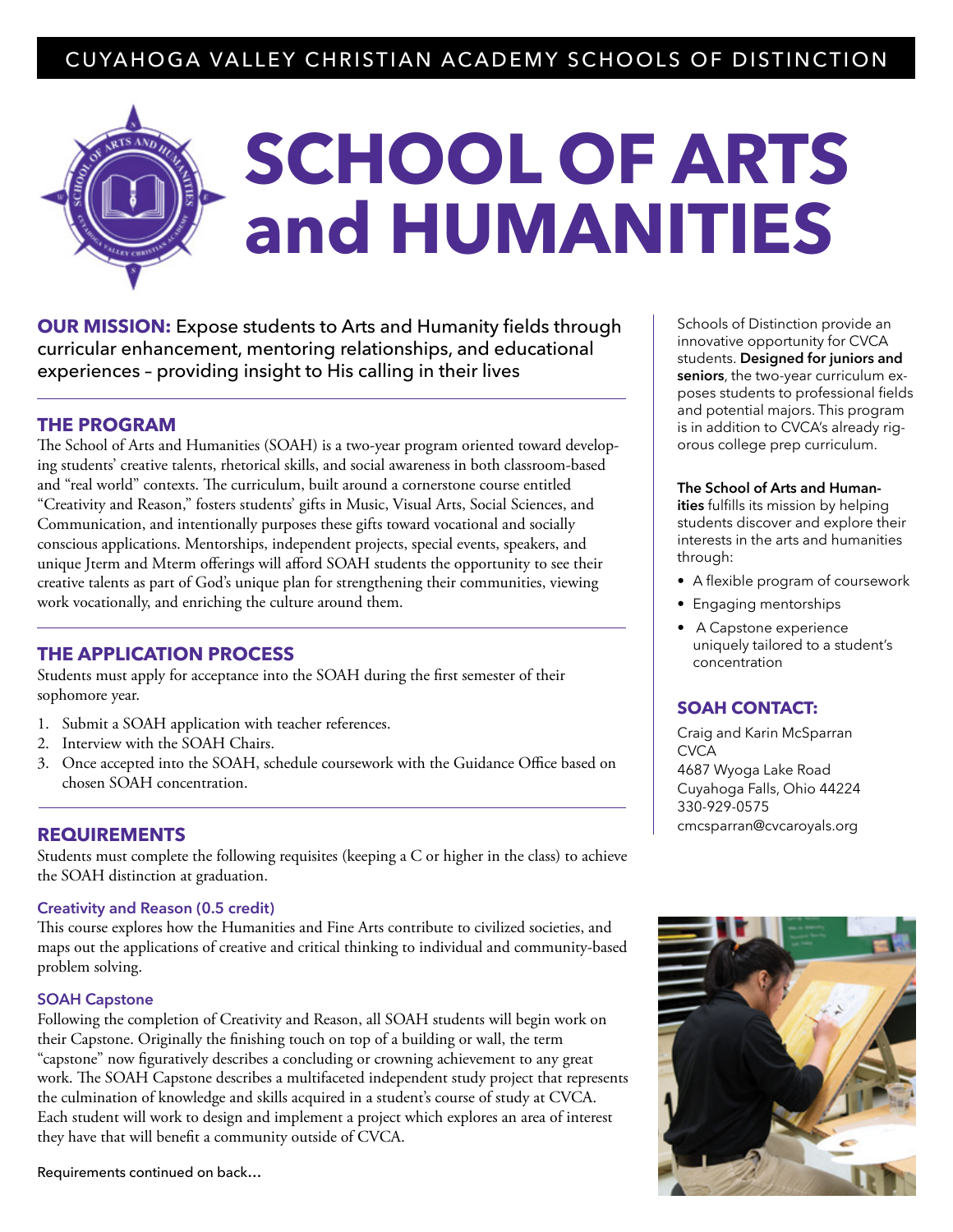# CUYAHOGA VALLEY CHRISTIAN ACADEMY SCHOOLS OF DISTINCTION

# **SCHOOL OF ARTS and HUMANITIES**

**OUR MISSION:** Expose students to Arts and Humanity fields through curricular enhancement, mentoring relationships, and educational experiences – providing insight to His calling in their lives

## **THE PROGRAM**

The School of Arts and Humanities (SOAH) is a two-year program oriented toward developing students' creative talents, rhetorical skills, and social awareness in both classroom-based and "real world" contexts. The curriculum, built around a cornerstone course entitled "Creativity and Reason," fosters students' gifts in Music, Visual Arts, Social Sciences, and Communication, and intentionally purposes these gifts toward vocational and socially conscious applications. Mentorships, independent projects, special events, speakers, and unique Jterm and Mterm offerings will afford SOAH students the opportunity to see their creative talents as part of God's unique plan for strengthening their communities, viewing work vocationally, and enriching the culture around them.

#### **THE APPLICATION PROCESS**

Students must apply for acceptance into the SOAH during the first semester of their sophomore year.

- 1. Submit a SOAH application with teacher references.
- 2. Interview with the SOAH Chairs.
- 3. Once accepted into the SOAH, schedule coursework with the Guidance Office based on chosen SOAH concentration.

# **REQUIREMENTS**

Students must complete the following requisites (keeping a C or higher in the class) to achieve the SOAH distinction at graduation.

#### **Creativity and Reason (0.5 credit)**

This course explores how the Humanities and Fine Arts contribute to civilized societies, and maps out the applications of creative and critical thinking to individual and community-based problem solving.

#### **SOAH Capstone**

Following the completion of Creativity and Reason, all SOAH students will begin work on their Capstone. Originally the finishing touch on top of a building or wall, the term "capstone" now figuratively describes a concluding or crowning achievement to any great work. The SOAH Capstone describes a multifaceted independent study project that represents the culmination of knowledge and skills acquired in a student's course of study at CVCA. Each student will work to design and implement a project which explores an area of interest they have that will benefit a community outside of CVCA.

Requirements continued on back…

Schools of Distinction provide an innovative opportunity for CVCA students. **Designed for juniors and seniors**, the two-year curriculum exposes students to professional fields and potential majors. This program is in addition to CVCA's already rigorous college prep curriculum.

#### **The School of Arts and Human-**

**ities** fulfills its mission by helping students discover and explore their interests in the arts and humanities through:

- A flexible program of coursework
- Engaging mentorships
- A Capstone experience uniquely tailored to a student's concentration

#### **SOAH CONTACT:**

Craig and Karin McSparran **CVCA** 4687 Wyoga Lake Road Cuyahoga Falls, Ohio 44224 330-929-0575 cmcsparran@cvcaroyals.org